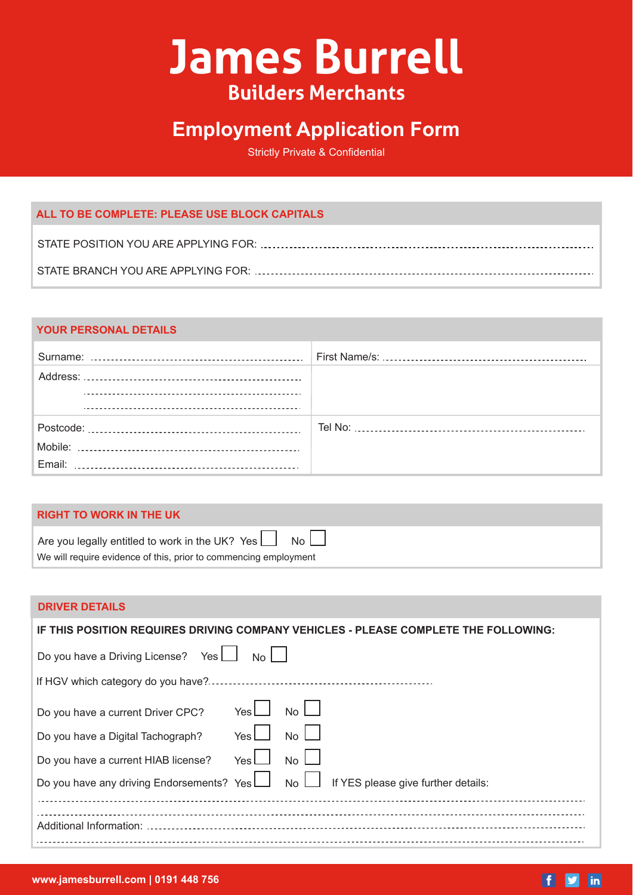# **James Burrell Builders Merchants**

# **Employment Application Form**

Strictly Private & Confidential

# **ALL TO BE COMPLETE: PLEASE USE BLOCK CAPITALS**

# **YOUR PERSONAL DETAILS**

# **RIGHT TO WORK IN THE UK**

| Are you legally entitled to work in the UK? Yes $\Box$ No $\Box$ |
|------------------------------------------------------------------|
| We will require evidence of this, prior to commencing employment |

# **DRIVER DETAILS**

| IF THIS POSITION REQUIRES DRIVING COMPANY VEHICLES - PLEASE COMPLETE THE FOLLOWING:  |  |  |  |  |
|--------------------------------------------------------------------------------------|--|--|--|--|
| Do you have a Driving License? Yes [<br>No I                                         |  |  |  |  |
|                                                                                      |  |  |  |  |
| YesL<br><b>No</b><br>Do you have a current Driver CPC?                               |  |  |  |  |
| Yes<br><b>No</b><br>Do you have a Digital Tachograph?                                |  |  |  |  |
| <b>No</b><br>Yes L<br>Do you have a current HIAB license?                            |  |  |  |  |
| Do you have any driving Endorsements? Yes L No L If YES please give further details: |  |  |  |  |
|                                                                                      |  |  |  |  |
| Additional Information:                                                              |  |  |  |  |
|                                                                                      |  |  |  |  |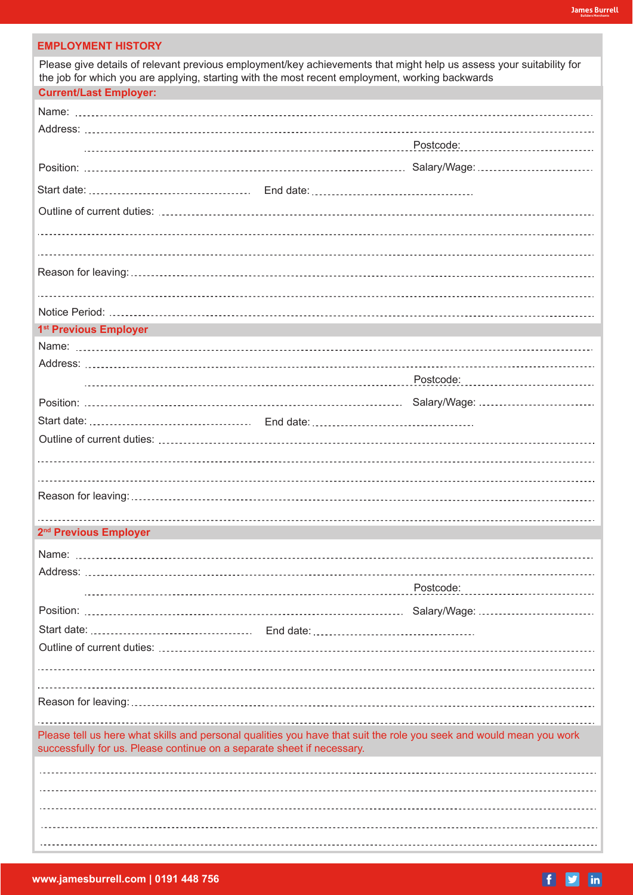# **EMPLOYMENT HISTORY**

| Please give details of relevant previous employment/key achievements that might help us assess your suitability for<br>the job for which you are applying, starting with the most recent employment, working backwards |  |           |  |  |
|------------------------------------------------------------------------------------------------------------------------------------------------------------------------------------------------------------------------|--|-----------|--|--|
| <b>Current/Last Employer:</b>                                                                                                                                                                                          |  |           |  |  |
|                                                                                                                                                                                                                        |  |           |  |  |
|                                                                                                                                                                                                                        |  |           |  |  |
|                                                                                                                                                                                                                        |  |           |  |  |
|                                                                                                                                                                                                                        |  |           |  |  |
|                                                                                                                                                                                                                        |  |           |  |  |
|                                                                                                                                                                                                                        |  |           |  |  |
|                                                                                                                                                                                                                        |  |           |  |  |
|                                                                                                                                                                                                                        |  |           |  |  |
|                                                                                                                                                                                                                        |  |           |  |  |
|                                                                                                                                                                                                                        |  |           |  |  |
|                                                                                                                                                                                                                        |  |           |  |  |
| 1 <sup>st</sup> Previous Employer                                                                                                                                                                                      |  |           |  |  |
|                                                                                                                                                                                                                        |  |           |  |  |
|                                                                                                                                                                                                                        |  |           |  |  |
|                                                                                                                                                                                                                        |  |           |  |  |
|                                                                                                                                                                                                                        |  |           |  |  |
|                                                                                                                                                                                                                        |  |           |  |  |
|                                                                                                                                                                                                                        |  |           |  |  |
|                                                                                                                                                                                                                        |  |           |  |  |
|                                                                                                                                                                                                                        |  |           |  |  |
|                                                                                                                                                                                                                        |  |           |  |  |
|                                                                                                                                                                                                                        |  |           |  |  |
| 2 <sup>nd</sup> Previous Employer                                                                                                                                                                                      |  |           |  |  |
|                                                                                                                                                                                                                        |  |           |  |  |
|                                                                                                                                                                                                                        |  |           |  |  |
|                                                                                                                                                                                                                        |  |           |  |  |
|                                                                                                                                                                                                                        |  | Postcode: |  |  |
|                                                                                                                                                                                                                        |  |           |  |  |
|                                                                                                                                                                                                                        |  |           |  |  |
|                                                                                                                                                                                                                        |  |           |  |  |
|                                                                                                                                                                                                                        |  |           |  |  |
|                                                                                                                                                                                                                        |  |           |  |  |
|                                                                                                                                                                                                                        |  |           |  |  |
|                                                                                                                                                                                                                        |  |           |  |  |
| Please tell us here what skills and personal qualities you have that suit the role you seek and would mean you work<br>successfully for us. Please continue on a separate sheet if necessary.                          |  |           |  |  |
|                                                                                                                                                                                                                        |  |           |  |  |
|                                                                                                                                                                                                                        |  |           |  |  |
|                                                                                                                                                                                                                        |  |           |  |  |
|                                                                                                                                                                                                                        |  |           |  |  |
|                                                                                                                                                                                                                        |  |           |  |  |